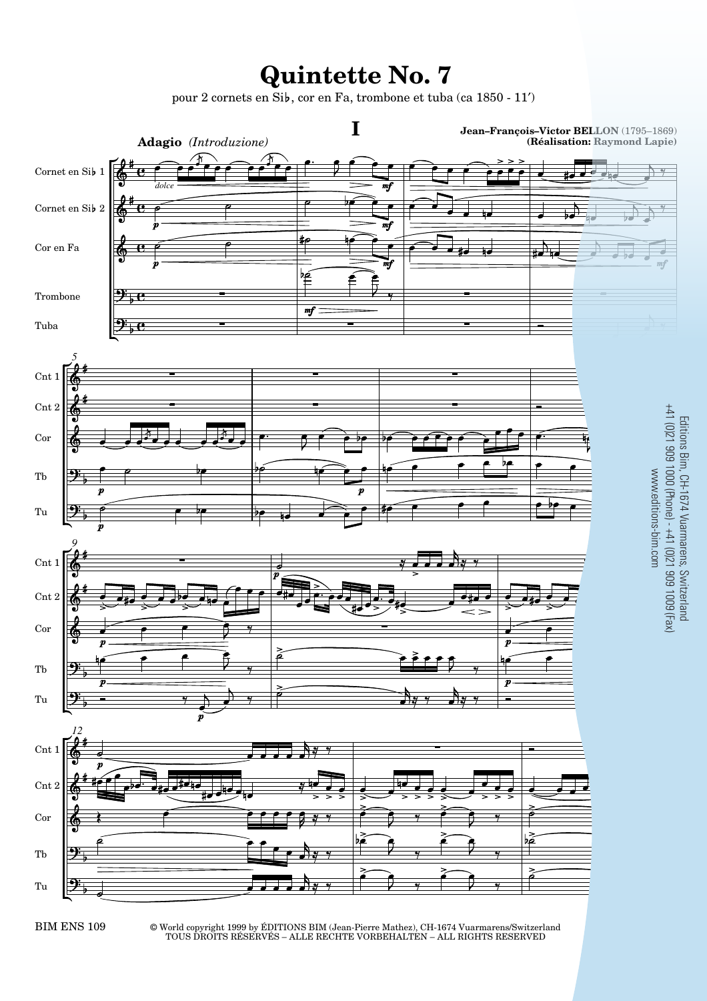## **Quintette No. 7**

pour 2 cornets en Sib, cor en Fa, trombone et tuba (ca 1850 - 11')



BIM ENS 109 © World copyright 1999 by ÉDITIONS BIM (Jean-Pierre Mathez), CH-1674 Vuarmarens/Switzerland TOUS DROITS RÉSERVÉS – ALLE RECHTE VORBEHALTEN – ALL RIGHTS RESERVED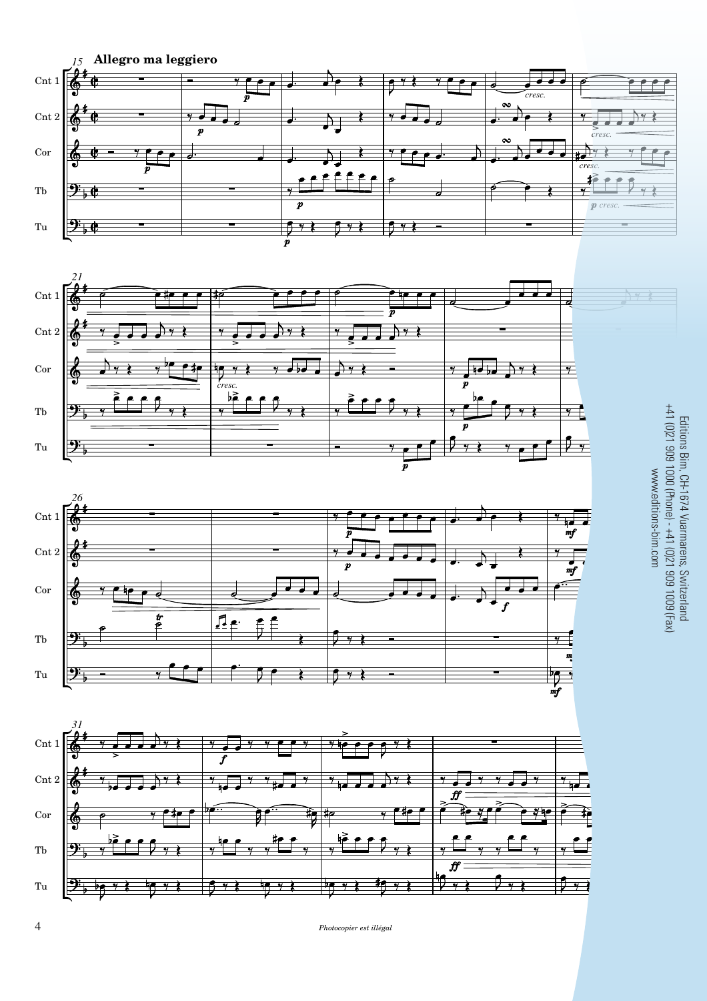







Editions Bim, CH-1674 Vuarmarens, Switzerland<br>+41 (0)21 909 1000 (Phone) - +41 (0)21 909 1009 (Fax) +41 (0)21 909 1000 (Phone) - +41 (0)21 909 1009 (Fax) Editions Bim, CH-1674 Vuarmarens, Switzerland www.editions-bim.com www.editions-bim.com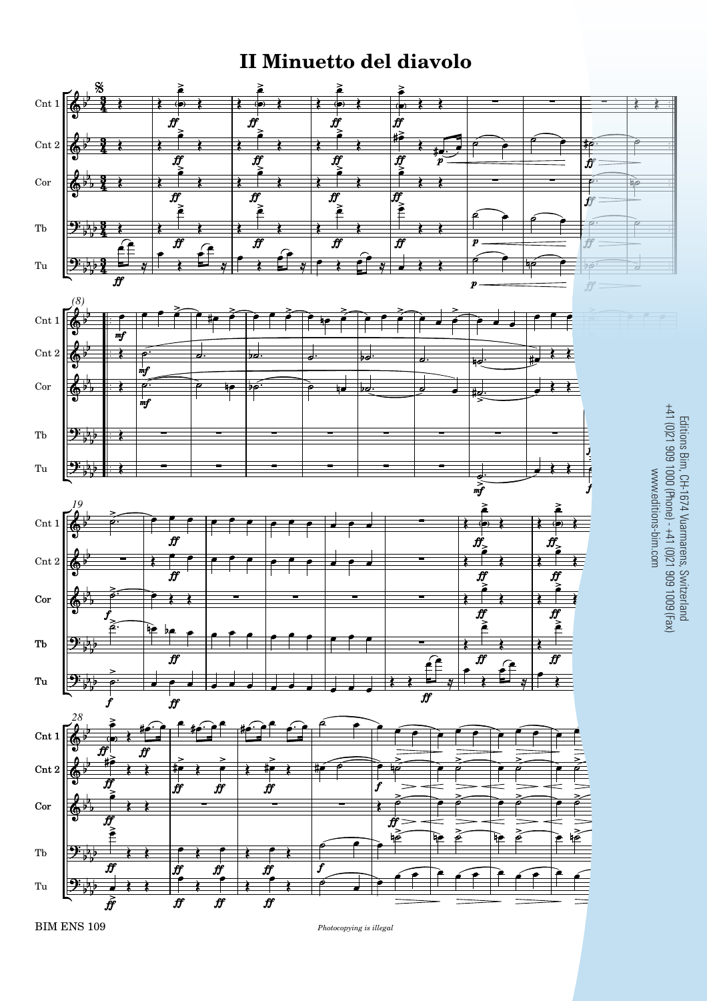## **II Minuetto del diavolo**



BIM ENS 109 *Photocopying is illegal* 9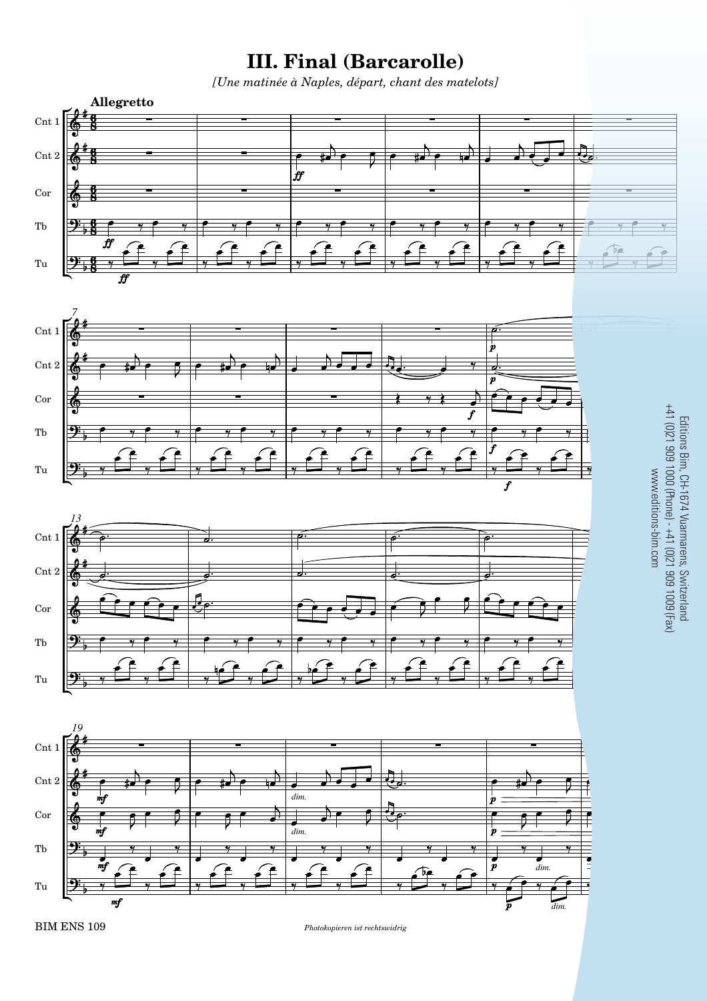## **III. Final (Barcarolle)**

*[Une matinée à Naples, départ, chant des matelots]*



**BIM ENS 109** *Photokopieren ist rechtswidrig*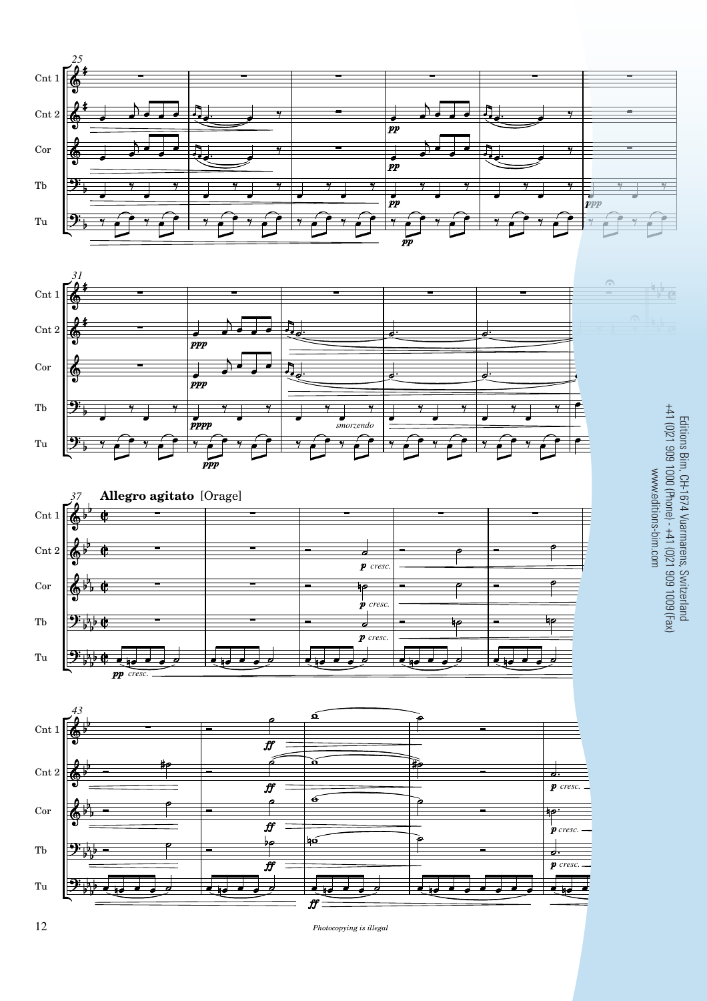







Editions Bim, CH-1674 Vuarmarens, Switzerland<br>+41 (0)21 909 1000 (Phone) - +41 (0)21 909 1009 (Fax) +41 (0)21 909 1000 (Phone) - +41 (0)21 909 1009 (Fax) Editions Bim, CH-1674 Vuarmarens, Switzerland www.editions-bim.com www.editions-bim.com